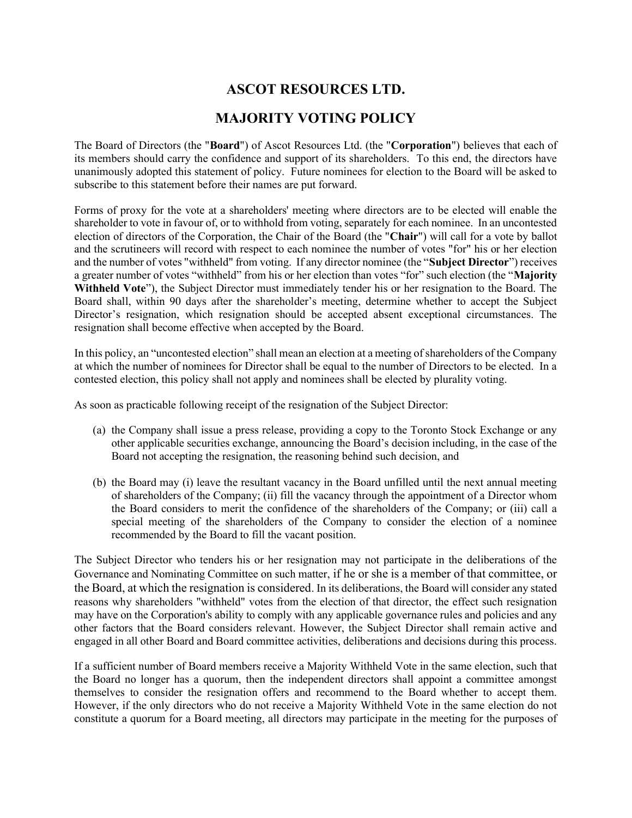## ASCOT RESOURCES LTD.

## MAJORITY VOTING POLICY

The Board of Directors (the "Board") of Ascot Resources Ltd. (the "Corporation") believes that each of its members should carry the confidence and support of its shareholders. To this end, the directors have unanimously adopted this statement of policy. Future nominees for election to the Board will be asked to subscribe to this statement before their names are put forward.

Forms of proxy for the vote at a shareholders' meeting where directors are to be elected will enable the shareholder to vote in favour of, or to withhold from voting, separately for each nominee. In an uncontested election of directors of the Corporation, the Chair of the Board (the "Chair") will call for a vote by ballot and the scrutineers will record with respect to each nominee the number of votes "for" his or her election and the number of votes "withheld" from voting. If any director nominee (the "Subject Director") receives a greater number of votes "withheld" from his or her election than votes "for" such election (the "Majority Withheld Vote"), the Subject Director must immediately tender his or her resignation to the Board. The Board shall, within 90 days after the shareholder's meeting, determine whether to accept the Subject Director's resignation, which resignation should be accepted absent exceptional circumstances. The resignation shall become effective when accepted by the Board.

In this policy, an "uncontested election" shall mean an election at a meeting of shareholders of the Company at which the number of nominees for Director shall be equal to the number of Directors to be elected. In a contested election, this policy shall not apply and nominees shall be elected by plurality voting.

As soon as practicable following receipt of the resignation of the Subject Director:

- (a) the Company shall issue a press release, providing a copy to the Toronto Stock Exchange or any other applicable securities exchange, announcing the Board's decision including, in the case of the Board not accepting the resignation, the reasoning behind such decision, and
- (b) the Board may (i) leave the resultant vacancy in the Board unfilled until the next annual meeting of shareholders of the Company; (ii) fill the vacancy through the appointment of a Director whom the Board considers to merit the confidence of the shareholders of the Company; or (iii) call a special meeting of the shareholders of the Company to consider the election of a nominee recommended by the Board to fill the vacant position.

The Subject Director who tenders his or her resignation may not participate in the deliberations of the Governance and Nominating Committee on such matter, if he or she is a member of that committee, or the Board, at which the resignation is considered. In its deliberations, the Board will consider any stated reasons why shareholders "withheld" votes from the election of that director, the effect such resignation may have on the Corporation's ability to comply with any applicable governance rules and policies and any other factors that the Board considers relevant. However, the Subject Director shall remain active and engaged in all other Board and Board committee activities, deliberations and decisions during this process.

If a sufficient number of Board members receive a Majority Withheld Vote in the same election, such that the Board no longer has a quorum, then the independent directors shall appoint a committee amongst themselves to consider the resignation offers and recommend to the Board whether to accept them. However, if the only directors who do not receive a Majority Withheld Vote in the same election do not constitute a quorum for a Board meeting, all directors may participate in the meeting for the purposes of